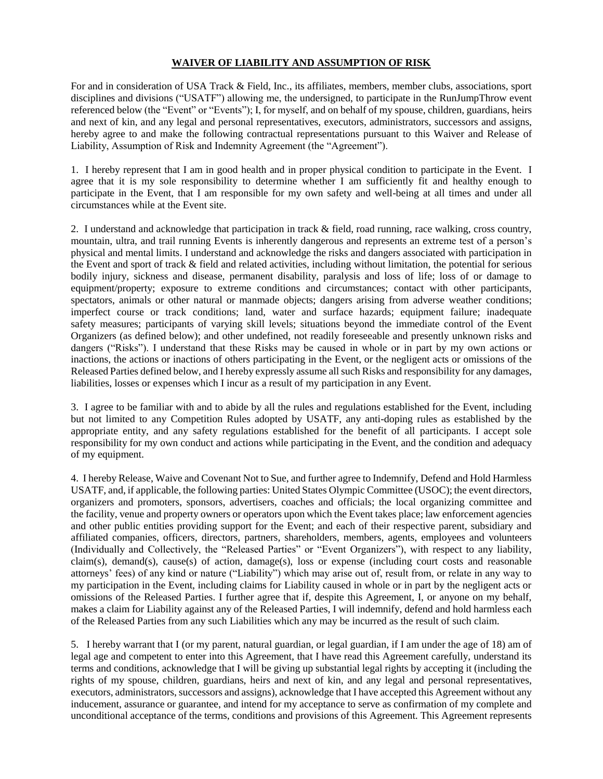## **WAIVER OF LIABILITY AND ASSUMPTION OF RISK**

For and in consideration of USA Track & Field, Inc., its affiliates, members, member clubs, associations, sport disciplines and divisions ("USATF") allowing me, the undersigned, to participate in the RunJumpThrow event referenced below (the "Event" or "Events"); I, for myself, and on behalf of my spouse, children, guardians, heirs and next of kin, and any legal and personal representatives, executors, administrators, successors and assigns, hereby agree to and make the following contractual representations pursuant to this Waiver and Release of Liability, Assumption of Risk and Indemnity Agreement (the "Agreement").

1. I hereby represent that I am in good health and in proper physical condition to participate in the Event. I agree that it is my sole responsibility to determine whether I am sufficiently fit and healthy enough to participate in the Event, that I am responsible for my own safety and well-being at all times and under all circumstances while at the Event site.

2. I understand and acknowledge that participation in track & field, road running, race walking, cross country, mountain, ultra, and trail running Events is inherently dangerous and represents an extreme test of a person's physical and mental limits. I understand and acknowledge the risks and dangers associated with participation in the Event and sport of track & field and related activities, including without limitation, the potential for serious bodily injury, sickness and disease, permanent disability, paralysis and loss of life; loss of or damage to equipment/property; exposure to extreme conditions and circumstances; contact with other participants, spectators, animals or other natural or manmade objects; dangers arising from adverse weather conditions; imperfect course or track conditions; land, water and surface hazards; equipment failure; inadequate safety measures; participants of varying skill levels; situations beyond the immediate control of the Event Organizers (as defined below); and other undefined, not readily foreseeable and presently unknown risks and dangers ("Risks"). I understand that these Risks may be caused in whole or in part by my own actions or inactions, the actions or inactions of others participating in the Event, or the negligent acts or omissions of the Released Parties defined below, and I hereby expressly assume all such Risks and responsibility for any damages, liabilities, losses or expenses which I incur as a result of my participation in any Event.

3. I agree to be familiar with and to abide by all the rules and regulations established for the Event, including but not limited to any Competition Rules adopted by USATF, any anti-doping rules as established by the appropriate entity, and any safety regulations established for the benefit of all participants. I accept sole responsibility for my own conduct and actions while participating in the Event, and the condition and adequacy of my equipment.

4. I hereby Release, Waive and Covenant Not to Sue, and further agree to Indemnify, Defend and Hold Harmless USATF, and, if applicable, the following parties: United States Olympic Committee (USOC); the event directors, organizers and promoters, sponsors, advertisers, coaches and officials; the local organizing committee and the facility, venue and property owners or operators upon which the Event takes place; law enforcement agencies and other public entities providing support for the Event; and each of their respective parent, subsidiary and affiliated companies, officers, directors, partners, shareholders, members, agents, employees and volunteers (Individually and Collectively, the "Released Parties" or "Event Organizers"), with respect to any liability, claim(s), demand(s), cause(s) of action, damage(s), loss or expense (including court costs and reasonable attorneys' fees) of any kind or nature ("Liability") which may arise out of, result from, or relate in any way to my participation in the Event, including claims for Liability caused in whole or in part by the negligent acts or omissions of the Released Parties. I further agree that if, despite this Agreement, I, or anyone on my behalf, makes a claim for Liability against any of the Released Parties, I will indemnify, defend and hold harmless each of the Released Parties from any such Liabilities which any may be incurred as the result of such claim.

5. I hereby warrant that I (or my parent, natural guardian, or legal guardian, if I am under the age of 18) am of legal age and competent to enter into this Agreement, that I have read this Agreement carefully, understand its terms and conditions, acknowledge that I will be giving up substantial legal rights by accepting it (including the rights of my spouse, children, guardians, heirs and next of kin, and any legal and personal representatives, executors, administrators, successors and assigns), acknowledge that I have accepted this Agreement without any inducement, assurance or guarantee, and intend for my acceptance to serve as confirmation of my complete and unconditional acceptance of the terms, conditions and provisions of this Agreement. This Agreement represents